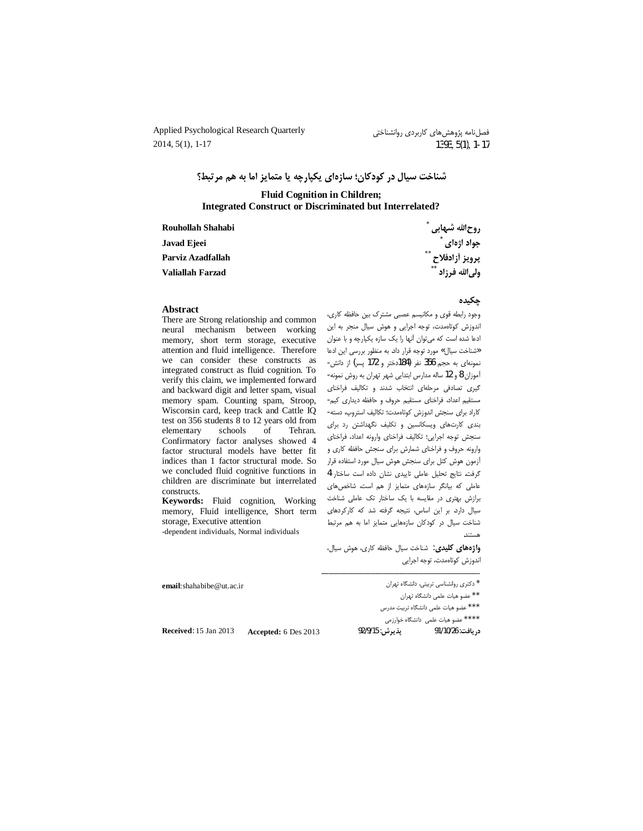Applied Psychological Research Quarterly  $2014, 5(1), 1-17$ 

# شناخت سيال در كودكان؛ سازهاي يكيارچه يا متمايز اما به هم مرتبط؟

#### **Fluid Cognition in Children; Integrated Construct or Discriminated but Interrelated?**

Rouhollah Shahabi Javad Ejeei Parviz Azadfallah **Valiallah Farzad** 

روح|لله شبهابی `<br>جواد اژه|ی `

#### **Abstract**

There are Strong relationship and common neural mechanism between working memory, short term storage, executive attention and fluid intelligence. Therefore we can consider these constructs as integrated construct as fluid cognition. To verify this claim, we implemented forward and backward digit and letter spam, visual memory spam. Counting spam, Stroop, Wisconsin card, keep track and Cattle IQ test on 356 students 8 to 12 years old from elementary schools of Tehran. Confirmatory factor analyses showed 4 factor structural models have better fit indices than 1 factor structural mode. So we concluded fluid cognitive functions in children are discriminate but interrelated constructs.

Keywords: Fluid cognition, Working memory, Fluid intelligence, Short term storage, Executive attention -dependent individuals, Normal individuals

.<br>پرویز آزادفلاح \*\*<br>ولی|لله فرزاد \*\*

#### چکیده

وجود رابطه قوى و مكانيسم عصبى مشترك بين حافظه كارى، اندوزش كوتاهمدت، توجه اجرايى وهوش سيال منجر به اين ادعا شده است که میتوان آنها را یک سازه یکپارچه و با عنوان «شناخت سیال» مورد توجه قرار داد. به منظور بررسی این ادعا نمونهای به حجم 356 نفر (184دختر و 172 پسر) از دانش-أموزان 8 و 12 ساله مدارس ابتدایی شهر تهران به روش نمونه-گیری تصادفی مرحلهای انتخاب شدند و تکالیف فراخنای مستقيم اعداد، فراخناى مستقيم حروف و حافظه ديدارى كيم-كاراد براى سنجش اندوزش كوتاهمدت؛ تكاليف استروپ، دسته-بندی کارتهای ویسکانسین و تکلیف نگهداشتن رد برای سنجش توجه اجرايي؛ تكاليف فراخناي وارونه اعداد، فراخناي وارونه حروف و فراخنای شمارش برای سنجش حافظه کاری و آزمون هوش كتل براى سنجش هوش سيال مورد استفاده قرار گرفت. نتایج تحلیل عاملی تاییدی نشان داده است ساختار 4 عاملی که بیانگر سازههای متمایز از هم است، شاخصهای برازش بهتری در مقایسه با یک ساختار تک عاملی شناخت سیال دارد. بر این اساس، نتیجه گرفته شد که کارکردهای شناخت سیال در کودکان سازههایی متمایز اما به هم مرتبط

واژههای کلیدی: شناخت سیال حافظه کاری، هوش سیال، اندوزش كوتاهمدت، توجه اجرايي

| email: shahabibe $@$ ut. ac. ir |                      | ٔ دکتری روانشناسی تربیتی. دانشگاه تهران |                                                 |  |  |
|---------------------------------|----------------------|-----------------------------------------|-------------------------------------------------|--|--|
|                                 |                      |                                         | <sup>* *</sup> عضو هیات علمی دانشگاه تهران      |  |  |
|                                 |                      |                                         | <sup>***</sup> عضو هیات علمی دانشگاه تربیت مدرس |  |  |
|                                 |                      |                                         | <sup>*</sup> *** عضو هیات علمی دانشگاه خوارزمی  |  |  |
| <b>Received:</b> 15 Jan 2013    | Accepted: 6 Des 2013 | يديرش: 92/9/15                          | , يافت: 91/10/26                                |  |  |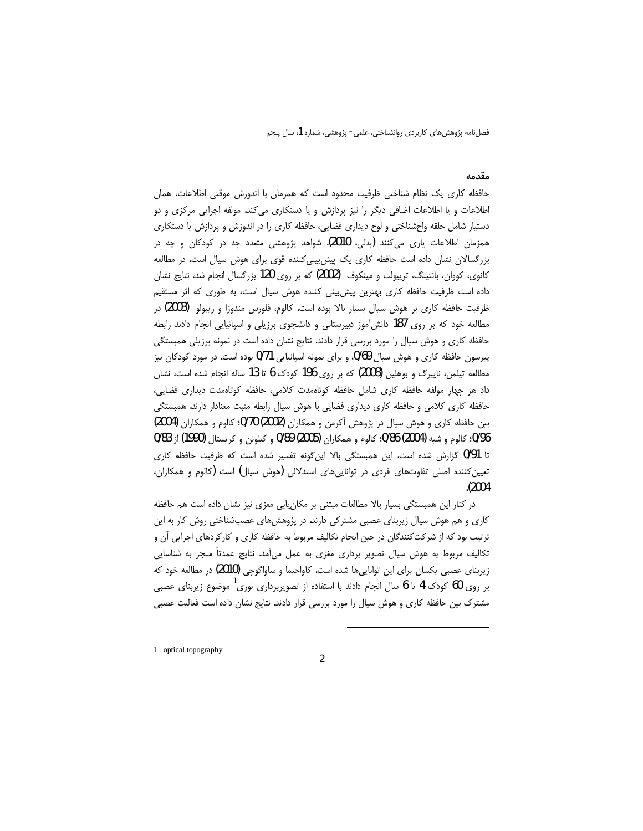### مقدمه

حافظه كارى يک نظام شناختى ظرفيت محدود است كه همزمان با اندوزش موقتى اطلاعات، همان اطلاعات و یا اطلاعات اضافی دیگر را نیز پردازش و یا دستکاری می کند. مولفه اجرایی مرکزی و دو دستیار شامل حلقه واجشناختی و لوح دیداری فضایی، حافظه کاری را در اندوزش و پردازش یا دستکاری همزمان اطلاعات یاری میکنند (بدلی، 2010). شواهد پژوهشی متعدد چه در کودکان و چه در بزرگسالان نشان داده است حافظه کاری یک پیش بینی کننده قوی برای هوش سیال است. در مطالعه کانوی، کووان، بانتینگ، ترییولت و مینکوف (2002) که بر روی 120 بزرگسال انجام شد، نتایج نشان داده است ظرفیت حافظه کاری بهترین پیش بینی کننده هوش سیال است، به طوری که اثر مستقیم ظرفیت حافظه کاری بر هوش سیال بسیار بالا بوده است. کالوم، فلورس مندوزا و ریبولو (2003) در مطالعه خود که بر روی 187 دانش آموز دبیرستانی و دانشجوی برزیلی و اسپانیایی انجام دادند رابطه حافظه کاری و هوش سیال را مورد بررسی قرار دادند. نتایج نشان داده است در نمونه برزیلی همبستگی پیرسون حافظه کاری و هوش سیال 0/69، و برای نمونه اسپانیایی 0/71 بوده است. در مورد کودکان نیز مطالعه تیلمن، نایبرگ و بوهلین (2008) که بر روی 196 کودک 6 تا 13 ساله انجام شده است، نشان داد هر چهار مولفه حافظه کاری شامل حافظه کوتاهمدت کلامی، حافظه کوتاهمدت دیداری فضایی، حافظه کاری کلامی و حافظه کاری دیداری فضایی با هوش سیال رابطه مثبت معنادار دارند. همبستگی بین حافظه کاری و هوش سیال در پژوهش آکرمن و همکاران (2002) 9/70؛ کالوم و همکاران (2004) 0/96؛ كالوم و شيه (2004) 0/86؛ كالوم و همكاران (2005) 0/89 و كيلونن و كريستال (1990) از 0/83 تا 0/91 گزارش شده است. این همبستگی بالا اینگونه تفسیر شده است که ظرفیت حافظه کاری تعیین کننده اصلی تفاوتهای فردی در تواناییهای استدلالی (هوش سیال) است (کالوم و همکاران،  $. (2004)$ 

در کنار این همبستگی بسیار بالا مطالعات مبتنی بر مکان پابی مغزی نیز نشان داده است هم حافظه کاری و هم هوش سیال زیربنای عصبی مشترکی دارند. در پژوهشهای عصب شناختی روش کار به این ترتیب بود که از شرکت کنندگان در حین انجام تکالیف مربوط به حافظه کاری و کارکردهای اجرایی آن و تکالیف مربوط به هوش سیال تصویر برداری مغزی به عمل میآمد. نتایج عمدتاً منجر به شناسایی زیربنای عصبی یکسان برای این تواناییها شده است. کاواجیما و ساواگوچی (2010) در مطالعه خود که بر روی 60 کودک 4 تا 6 سال انجام دادند با استفاده از تصویربرداری نوری موضوع زیربنای عصبی مشترک بین حافظه کاری و هوش سیال را مورد بررسی قرار دادند. نتایج نشان داده است فعالیت عصبی

1. optical topography

 $\overline{2}$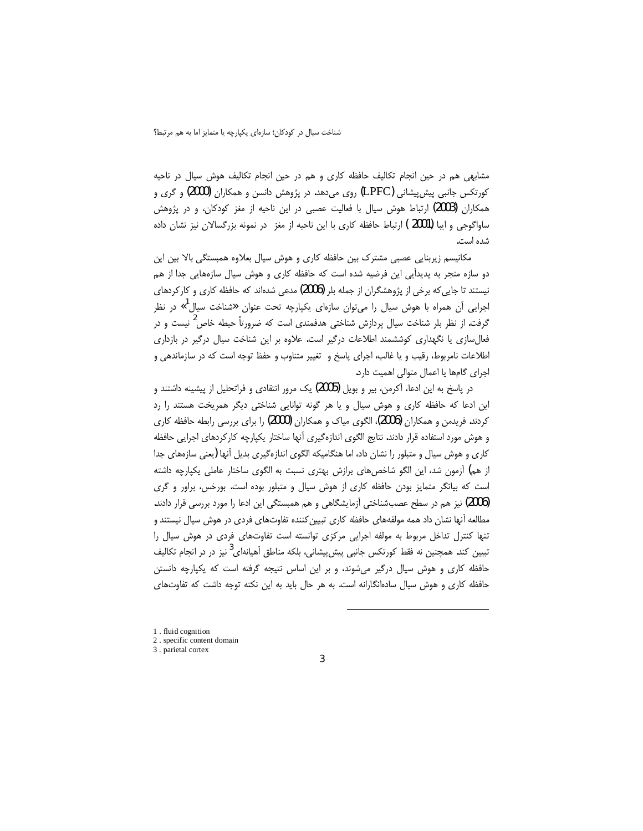مشابهی هم در حین انجام تکالیف حافظه کاری و هم در حین انجام تکالیف هوش سیال در ناحیه کورتکس جانبی پیش،پیشانی (LPFC) روی میدهد. در پژوهش دانسن و همکاران (2000) و گری و همکاران (2003) ارتباط هوش سیال با فعالیت عصبی در این ناحیه از مغز کودکان، و در پژوهش ساواگوجی و ایبا (2001 ) ارتباط حافظه کاری با این ناحیه از مغز در نمونه بزرگسالان نیز نشان داده شده است.

مکانیسم زیربنایی عصبی مشترک بین حافظه کاری و هوش سیال بعلاوه همبستگی بالا بین این دو سازه منجر به پدیدآیی این فرضیه شده است که حافظه کاری و هوش سیال سازههایی جدا از هم نیستند تا جایی که برخی از پژوهشگران از جمله بلر (2006) مدعی شدهاند که حافظه کاری و کارکردهای اجرایی آن همراه با هوش سیال را میتوان سازهای یکپارچه تحت عنوان «شناخت سیال<sup>ا</sup>» در نظر گرفت. از نظر بلر شناخت سیال پردازش شناختی هدفمندی است که ضرورتاً حیطه خاص<sup>2</sup> نیست و در فعالسازی یا نگهداری کوششمند اطلاعات درگیر است. علاوه بر این شناخت سیال درگیر در بازداری اطلاعات نامربوط، رقیب و یا غالب، اجرای پاسخ و تغییر متناوب و حفظ توجه است که در سازماندهی و اجرای گامها یا اعمال متوالی اهمیت دارد.

در پاسخ به این ادعا، آکرمن، بیر و بویل (2005) یک مرور انتقادی و فراتحلیل از پیشینه داشتند و این ادعا که حافظه کاری و هوش سیال و یا هر گونه توانایی شناختی دیگر همریخت هستند را رد کردند. فریدمن و همکاران (2006)، الگوی میاک و همکاران (2000) را برای بررسی رابطه حافظه کاری و هوش مورد استفاده قرار دادند. نتايج الگوى اندازهگيرى آنها ساختار يكپارچه كاركردهاى اجرايى حافظه کاری و هوش سیال و متبلور را نشان داد، اما هنگامیکه الگوی اندازهگیری بدیل آنها (یعنی سازههای جدا از هم) آزمون شد، این الگو شاخص های برازش بهتری نسبت به الگوی ساختار عاملی یکپارچه داشته است که بیانگر متمایز بودن حافظه کاری از هوش سیال و متبلور بوده است. بورخس، براور و گری (2006) نیز هم در سطح عصبشناختی آزمایشگاهی و هم همبستگی این ادعا را مورد بررسی قرار دادند. مطالعه آنها نشان داد همه مولفههای حافظه کاری تبیین کننده تفاوتهای فردی در هوش سیال نیستند و تنها کنترل تداخل مربوط به مولفه اجرایی مرکزی توانسته است تفاوتهای فردی در هوش سیال را تبیین کند. همچنین نه فقط کورتکس جانبی پیش,پیشانی، بلکه مناطق آهیانهای<sup>3</sup> نیز در در انجام تکالیف حافظه کاری و هوش سیال درگیر میشوند، و بر این اساس نتیجه گرفته است که یکپارچه دانستن حافظه کاری و هوش سیال سادهانگارانه است. به هر حال باید به این نکته توجه داشت که تفاوتهای

<sup>1.</sup> fluid cognition

<sup>2.</sup> specific content domain

<sup>3.</sup> parietal cortex

 $\overline{3}$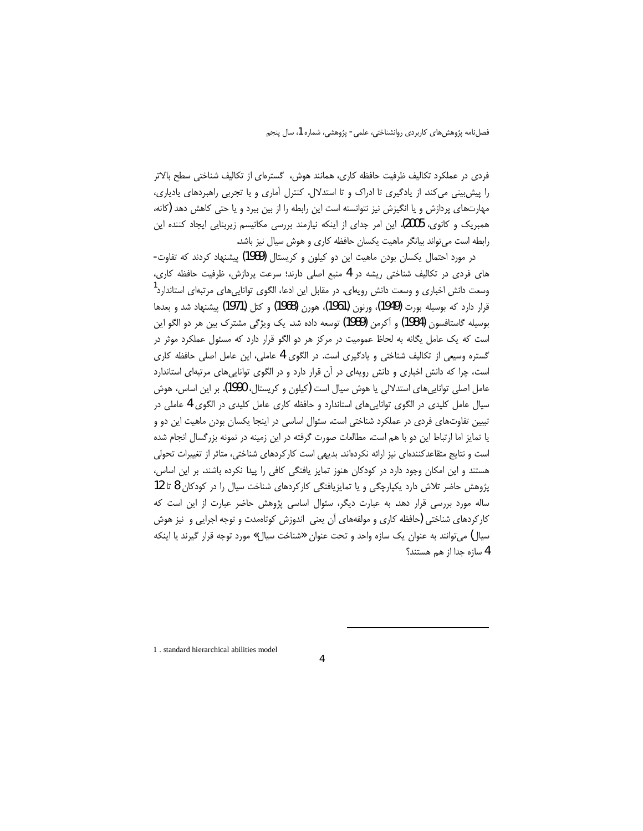فردی در عملکرد تکالیف ظرفیت حافظه کاری، همانند هوش، گسترهای از تکالیف شناختی سطح بالاتر را پیش بینی می کند. از یادگیری تا ادراک و تا استدلال. کنترل آماری و یا تجربی راهبردهای یادیاری، مهارتهای پردازش و یا انگیزش نیز نتوانسته است این رابطه را از بین ببرد و یا حتی کاهش دهد (کانه، همبریک و کانوی، 2005). این امر جدای از اینکه نیازمند بررسی مکانیسم زیربنایی ایجاد کننده این رابطه است می تواند بیانگر ماهیت یکسان حافظه کاری و هوش سیال نیز باشد.

در مورد احتمال یکسان بودن ماهیت این دو کیلون و کریستال (1989) پیشنهاد کردند که تفاوت-های فردی در تکالیف شناختی ریشه در 4 منبع اصلی دارند؛ سرعت پردازش، ظرفیت حافظه کاری، وسعت دانش اخباری و وسعت دانش رویهای. در مقابل این ادعا، الگوی توانایی های مرتبهای استاندارد<sup>ا</sup> قرار دارد که بوسیله بورت (1949)، ورنون (1961)، هورن (1968) و کتل (1971) پیشنهاد شد و بعدها بوسيله گاستافسون (1984) و آكرمن (1989) توسعه داده شد. يک ويژگي مشترک بين هر دو الگو اين است که یک عامل یگانه به لحاظ عمومیت در مرکز هر دو الگو قرار دارد که مسئول عملکرد موثر در گستره وسیعی از تکالیف شناختی و یادگیری است. در الگوی 4 عاملی، این عامل اصلی حافظه کاری است، چرا که دانش اخباری و دانش رویهای در آن قرار دارد و در الگوی توانایی های مرتبهای استاندارد عامل اصلی تواناییهای استدلالی یا هوش سیال است (کیلون و کریستال، 1990). بر این اساس، هوش سیال عامل کلیدی در الگوی تواناییهای استاندارد و حافظه کاری عامل کلیدی در الگوی 4 عاملی در تبیین تفاوتهای فردی در عملکرد شناختی است. سئوال اساسی در اینجا یکسان بودن ماهیت این دو و یا تمایز اما ارتباط این دو با هم است. مطالعات صورت گرفته در این زمینه در نمونه بزرگسال انجام شده است و نتایج متقاعدکنندهای نیز ارائه نکردهاند. بدیهی است کارکردهای شناختی، متاثر از تغییرات تحولی هستند و این امکان وجود دارد در کودکان هنوز تمایز یافتگی کافی را پیدا نکرده باشند. بر این اساس، پژوهش حاضر تلاش دارد یکپارچگی و یا تمایزیافتگی کارکردهای شناخت سیال را در کودکان 8 تا 12 ساله مورد بررسی قرار دهد. به عبارت دیگر، سئوال اساسی پژوهش حاضر عبارت از این است که کارکردهای شناختی (حافظه کاری و مولفههای آن یعنی اندوزش کوتاهمدت و توجه اجرایی و نیز هوش سیال) می توانند به عنوان یک سازه واحد و تحت عنوان «شناخت سیال» مورد توجه قرار گیرند یا اینکه 4 سازه جدا از هم هستند؟

1. standard hierarchical abilities model

 $\overline{4}$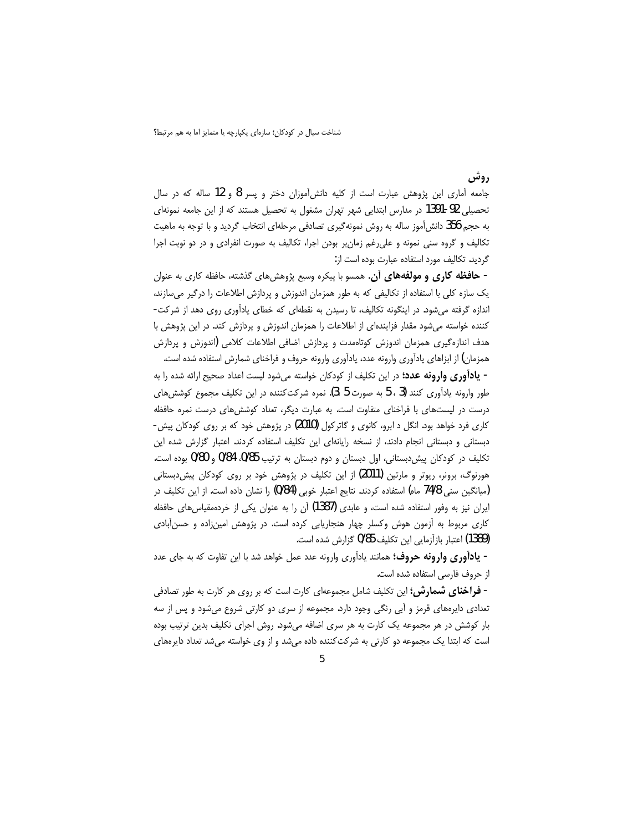روشي

جامعه اَماری این پژوهش عبارت است از کلیه دانشآموزان دختر و پسر 8 و 12 ساله که در سال تحصیلی 92-1391 در مدارس ابتدایی شهر تهران مشغول به تحصیل هستند که از این جامعه نمونهای به حجم 356 دانش آموز ساله به روش نمونهگیری تصادفی مرحلهای انتخاب گردید و با توجه به ماهیت تکالیف و گروه سنی نمونه و علی رغم زمان بر بودن اجرا، تکالیف به صورت انفرادی و در دو نوبت اجرا گردید. تکالیف مورد استفاده عبارت بوده است از:

- **حافظه کاری و مولفههای آن**. همسو با پیکره وسیع پژوهشهای گذشته، حافظه کاری به عنوان یک سازه کلی با استفاده از تکالیفی که به طور همزمان اندوزش و پردازش اطلاعات را درگیر میسازند، اندازه گرفته میشود. در اینگونه تکالیف، تا رسیدن به نقطهای که خطای یادآوری روی دهد از شرکت-کننده خواسته میشود مقدار فزایندهای از اطلاعات را همزمان اندوزش و پردازش کند. در این پژوهش با هدف اندازهگیری همزمان اندوزش کوتاهمدت و پردازش اضافی اطلاعات کلامی (اندوزش و پردازش همزمان) از ابزاهای یادآوری وارونه عدد، یادآوری وارونه حروف و فراخنای شمارش استفاده شده است.

- يادآوري وارونه عدد؛ در اين تكليف از كودكان خواسته مي شود ليست اعداد صحيح ارائه شده را به طور وارونه يادآوري كنند (3 ، 5 به صورت 5 ،3). نمره شركت كننده در اين تكليف مجموع كوشش هاي درست در لیستهای با فراخنای متفاوت است. به عبارت دیگر، تعداد کوششهای درست نمره حافظه کاری فرد خواهد بود. انگل د ابرو، کانوی و گاترکول (2010) در پژوهش خود که بر روی کودکان پیش-دبستانی و دبستانی انجام دادند، از نسخه رایانهای این تکلیف استفاده کردند. اعتبار گزارش شده این تکلیف در کودکان پیشدبستانی، اول دبستان و دوم دبستان به ترتیب 0/85 0/84 و 0/80 بوده است. هورنوگ، برونر، ریوتر و مارتین (2011) از این تکلیف در پژوهش خود بر روی کودکان پیشدبستانی (میانگین سنی 74/8 ماه) استفاده کردند. نتایج اعتبار خوبی (0/84) را نشان داده است. از این تکلیف در ایران نیز به وفور استفاده شده است، و عابدی (1387) آن را به عنوان یکی از خردهمقیاسهای حافظه کاری مربوط به آزمون هوش وکسلر چهار هنجاریابی کرده است. در پژوهش امینزاده و حسن آبادی (1389) اعتبار بازآزمایی این تکلیف 0/85 گزارش شده است.

- **یادآوری وارونه حروف؛** همانند یادآوری وارونه عدد عمل خواهد شد با این تفاوت که به جای عدد از حروف فارسی استفاده شده است.

- **فراخنای شمارش؛** این تکلیف شامل مجموعهای کارت است که بر روی هر کارت به طور تصادفی تعدادی دایرههای قرمز و آبی رنگی وجود دارد. مجموعه از سری دو کارتی شروع میشود و پس از سه بار کوشش در هر مجموعه یک کارت به هر سری اضافه میشود. روش اجرای تکلیف بدین ترتیب بوده است که ابتدا یک مجموعه دو کارتی به شرکتکننده داده میشد و از وی خواسته میشد تعداد دایرههای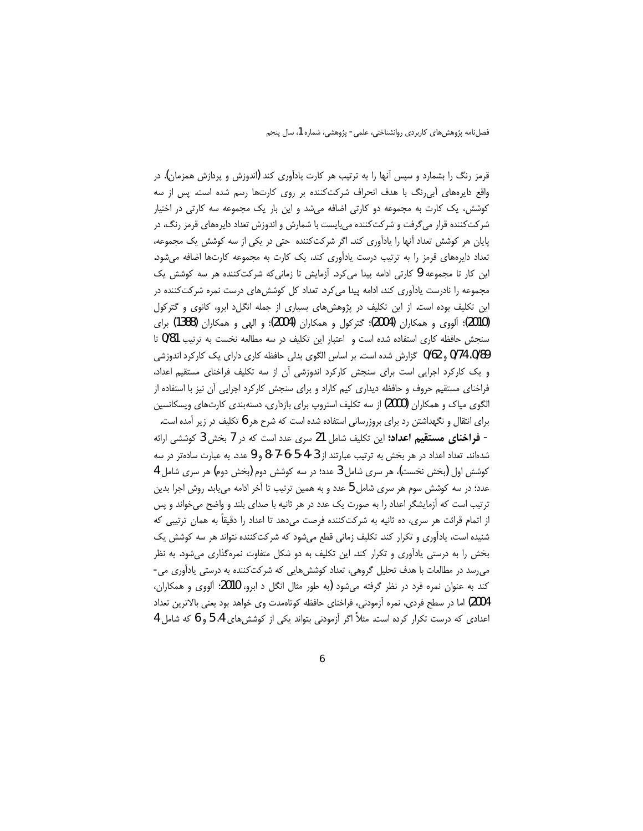قرمز رنگ را بشمارد و سپس آنها را به ترتیب هر کارت یادآوری کند (اندوزش و پردازش همزمان). در واقع دایرههای آبی رنگ با هدف انحراف شرکت کننده بر روی کارتها رسم شده است. پس از سه کوشش، یک کارت به مجموعه دو کارتی اضافه می شد و این بار یک مجموعه سه کارتی در اختیار شرکتکننده قرار میگرفت و شرکتکننده میبایست با شمارش و اندوزش تعداد دایرههای قرمز رنگ، در پایان هر کوشش تعداد آنها را یادآوری کند. اگر شرکتکننده حتی در یکی از سه کوشش یک مجموعه، تعداد دایرههای قرمز را به ترتیب درست یادآوری کند، یک کارت به مجموعه کارتها اضافه میشود. این کار تا مجموعه 9 کارتی ادامه پیدا میکرد. اَزمایش تا زمانیکه شرکتکننده هر سه کوشش یک مجموعه را نادرست یادآوری کند، ادامه پیدا میکرد. تعداد کل کوشش های درست نمره شرکتکننده در این تکلیف بوده است. از این تکلیف در پژوهشهای بسیاری از جمله انگل(د ابرو، کانوی و گترکول (2010)؛ آلووی و همکاران (2004)؛ گترکول و همکاران (2004)؛ و الهی و همکاران (1388) برای سنجش حافظه کاری استفاده شده است و اعتبار این تکلیف در سه مطالعه نخست به ترتیب 0/81 تا 0/89، 0/14 و 0/62 گزارش شده است. بر اساس الگوی بدلی حافظه کاری دارای یک کارکرد اندوزشی و یک کارکرد اجرایی است برای سنجش کارکرد اندوزشی آن از سه تکلیف فراخنای مستقیم اعداد، فراخنای مستقیم حروف و حافظه دیداری کیم کاراد و برای سنجش کارکرد اجرایی آن نیز با استفاده از الگوی میاک و همکاران (2000) از سه تکلیف استروپ برای بازداری، دستهبندی کارتهای ویسکانسین برای انتقال و نگهداشتن رد برای بروزرسانی استفاده شده است که شرح هر 6 تکلیف در زیر آمده است. - فرا**خنای مستقیم اعداد؛** این تکلیف شامل 21 سری عدد است که در 7 بخش 3 کوششی ارائه شدهاند. تعداد اعداد در هر بخش به ترتیب عبارتند از 3-4-5-6-7-8 و 9 عدد. به عبارت سادهتر در سه کوشش اول (بخش نخست)، هر سری شامل 3 عدد؛ در سه کوشش دوم (بخش دوم) هر سری شامل 4 عدد؛ در سه کوشش سوم هر سری شامل 5 عدد و به همین ترتیب تا آخر ادامه می یابد. روش اجرا بدین ترتیب است که آزمایشگر اعداد را به صورت یک عدد در هر ثانیه با صدای بلند و واضح میخواند و پس از اتمام قرائت هر سری، ده ثانیه به شرکتکننده فرصت میدهد تا اعداد را دقیقاً به همان ترتیبی که شنیده است، یادآوری و تکرار کند. تکلیف زمانی قطع می شود که شرکتکننده نتواند هر سه کوشش یک بخش را به درستی یادآوری و تکرار کند. این تکلیف به دو شکل متفاوت نمرهگذاری میشود. به نظر می رسد در مطالعات با هدف تحلیل گروهی، تعداد کوشش هایی که شرکتکننده به درستی یادآوری می-کند به عنوان نمره فرد در نظر گرفته میشود (به طور مثال انگل د ابرو، 2010؛ آلووی و همکاران، 2004) اما در سطح فردي، نمره آزمودني، فراخناي حافظه كوتاهمدت وي خواهد بود يعني بالاترين تعداد اعدادی که درست تکرار کرده است. مثلاً اگر آزمودنی بتواند یکی از کوشش های 4 5 و 6 که شامل 4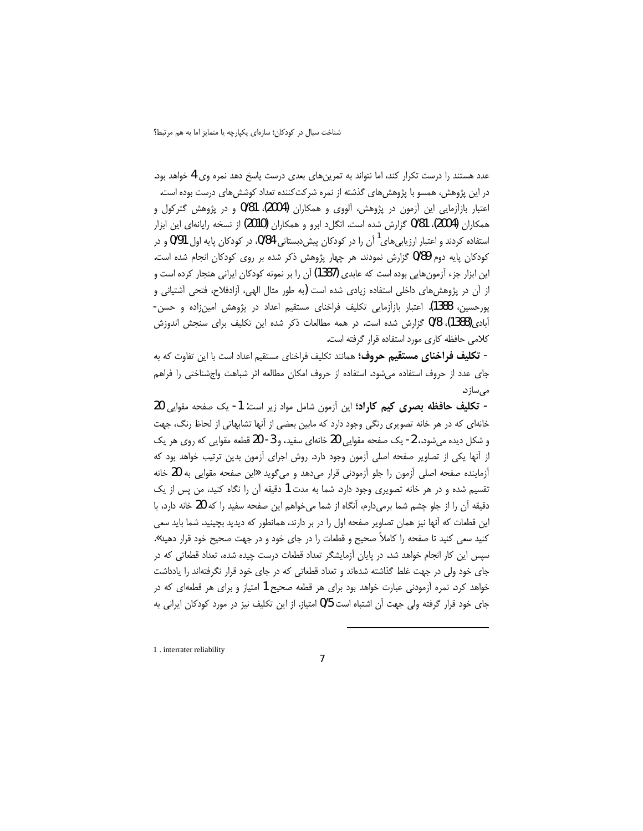عدد هستند را درست تکرار کند، اما نتواند به تمرینهای بعدی درست پاسخ دهد نمره وی 4 خواهد بود. در این پژوهش، همسو با پژوهشهای گذشته از نمره شرکتکننده تعداد کوششهای درست بوده است. اعتبار بازآزمایی این آزمون در پژوهش، آلووی و همکاران (2004)، 0/81 و در پژوهش گترکول و همکاران (2004)، 0/81 گزارش شده است. انگل1 ابرو و همکاران (2010) از نسخه رایانهای این ابزار استفاده کردند و اعتبار ارزیابیهای<sup>۱</sup> آن را در کودکان پیشدبستانی 0/84، در کودکان پایه اول 0/91 و در کودکان پایه دوم 0/89 گزارش نمودند. هر چهار پژوهش ذکر شده بر روی کودکان انجام شده است. این ابزار جزء آزمون هایی بوده است که عابدی (1387) آن را بر نمونه کودکان ایرانی هنجار کرده است و از آن در پژوهش های داخلی استفاده زیادی شده است (به طور مثال الهی، آزادفلاح، فتحی آشتیانی و پورحسین، 1388). اعتبار بازاَزمایی تکلیف فراخنای مستقیم اعداد در پژوهش امینزاده و حسن-آبادی(1388)، 0/8 گزارش شده است. در همه مطالعات ذکر شده این تکلیف برای سنجش اندوزش كلامي حافظه كاري مورد استفاده قرار گرفته است.

- **تكليف فراخناي مستقيم حروف؛** همانند تكليف فراخناي مستقيم اعداد است با اين تفاوت كه به جای عدد از حروف استفاده میشود. استفاده از حروف امکان مطالعه اثر شباهت واجشناختی را فراهم مے ,ساز د.

- تكليف حافظه بصرى كيم كاراد؛ اين آزمون شامل مواد زير است: 1- يک صفحه مقوايي 20 خانهای که در هر خانه تصویری رنگی وجود دارد که مابین بعضی از آنها تشابهاتی از لحاظ رنگ، جهت و شکل دیده می شود.، 2- یک صفحه مقوایی 20 خانهای سفید، و 3- 20 قطعه مقوایی که روی هر یک از آنها یکی از تصاویر صفحه اصلی آزمون وجود دارد. روش اجرای آزمون بدین ترتیب خواهد بود که آزماینده صفحه اصلی آزمون را جلو آزمودنی قرار می دهد و میگوید «این صفحه مقوایی به 20 خانه تقسیم شده و در هر خانه تصویری وجود دارد. شما به مدت 1 دقیقه آن را نگاه کنید، من پس از یک دقیقه آن را از جلو چشم شما برمیدارم، آنگاه از شما میخواهم این صفحه سفید را که 20 خانه دارد، با این قطعات که آنها نیز همان تصاویر صفحه اول را در بر دارند، همانطور که دیدید بچینید. شما باید سعی کنید سع<sub>ی</sub> کنید تا صفحه را کاملاً صحیح و قطعات را در جای خود و در جه*ت صح*یح خود قرار دهید». سیس این کار انجام خواهد شد. در پایان آزمایشگر تعداد قطعات درست چیده شده، تعداد قطعاتی که در جای خود ولی در جهت غلط گذاشته شدهاند و تعداد قطعاتی که در جای خود قرار نگرفتهاند را یادداشت خواهد کرد. نمره آزمودنی عبارت خواهد بود برای هر قطعه صحیح 1 امتیاز و برای هر قطعهای که در جای خود قرار گرفته ولی جهت آن اشتباه است 0/5 امتیاز. از این تکلیف نیز در مورد کودکان ایرانی به

1 . interrater reliability

 $\overline{1}$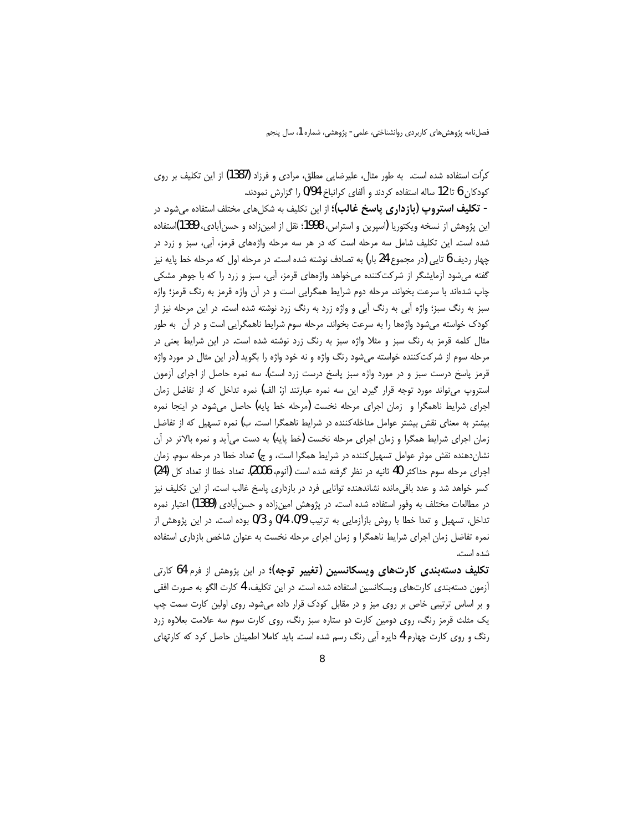کرّات استفاده شده است. به طور مثال، علیرضایی مطلق، مرادی و فرزاد (1387) از این تکلیف بر روی کودکان 6 تا 12 ساله استفاده کردند و آلفای کرانباخ 0/94 را گزارش نمودند.

- **تكليف استروپ (بازداري ياسخ غالب)؛** از اين تكليف به شكلهاي مختلف استفاده م<sub>ي</sub>شود. در این پژوهش از نسخه ویکتوریا (اسپرین و استراس، 1998؛ نقل از امین;زاده و حسن آبادی، 1389)استفاده شده است. این تکلیف شامل سه مرحله است که در هر سه مرحله واژههای قرمز، آبی، سبز و زرد در چهار رديف 6 تايي (در مجموع 24 بار) به تصادف نوشته شده است. در مرحله اول كه مرحله خط پايه نيز گفته میشود آزمایشگر از شرکتکننده میخواهد واژههای قرمز، آبی، سبز و زرد را که با جوهر مشکی چاپ شدهاند با سرعت بخواند. مرحله دوم شرایط همگرایی است و در آن واژه قرمز به رنگ قرمز؛ واژه سبز به رنگ سبز؛ واژه آبی به رنگ آبی و واژه زرد به رنگ زرد نوشته شده است. در این مرحله نیز از کودک خواسته می شود واژهها را به سرعت بخواند. مرحله سوم شرایط ناهمگرایی است و در آن ٍ به طور مثال کلمه قرمز به رنگ سبز و مثلا واژه سبز به رنگ زرد نوشته شده است. در این شرایط یعنی در مرحله سوم از شرکتکننده خواسته میشود رنگ واژه و نه خود واژه را بگوید (در این مثال در مورد واژه قرمز پاسخ درست سبز و در مورد واژه سبز پاسخ درست زرد است). سه نمره حاصل از اجرای آزمون استروپ می تواند مورد توجه قرار گیرد. این سه نمره عبارتند از: الف) نمره تداخل که از تفاضل زمان اجرای شرایط ناهمگرا و زمان اجرای مرحله نخست (مرحله خط پایه) حاصل می شود. در اینجا نمره بیشتر به معنای نقش بیشتر عوامل مداخله کننده در شرایط ناهمگرا است. ب) نمره تسهیل که از تفاضل زمان اجرای شرایط همگرا و زمان اجرای مرحله نخست (خط پایه) به دست می آید و نمره بالاتر در آن نشان دهنده نقش موثر عوامل تسهیل کننده در شرایط همگرا است، و ج) تعداد خطا در مرحله سوم. زمان اجراى مرحله سوم حداكثر 40 ثانيه در نظر كرفته شده است (آنوم، 2006). تعداد خطا از تعداد كل (24) کسر خواهد شد و عدد باقی مانده نشاندهنده توانایی فرد در بازداری پاسخ غالب است. از این تکلیف نیز در مطالعات مختلف به وفور استفاده شده است. در پژوهش امینزاده و حسن آبادی (1389) اعتبار نمره تداخل، تسهیل و تعدا خطا با روش بازآزمایی به ترتیب 0/9، 0/4 و 0/3 بوده است. در این پژوهش از نمره تفاضل زمان اجرای شرایط ناهمگرا و زمان اجرای مرحله نخست به عنوان شاخص بازداری استفاده شده است.

**تکلیف دستهبندی کارتهای ویسکانسین (تغییر توجه)؛** در این پژوهش از فرم 64 کارتی آزمون دستهبندی کارتهای ویسکانسین استفاده شده است. در این تکلیف، 4 کارت الگو به صورت افقی و بر اساس ترتیبی خاص بر روی میز و در مقابل کودک قرار داده میشود. روی اولین کارت سمت چپ یک مثلث قرمز رنگ، روی دومین کارت دو ستاره سبز رنگ، روی کارت سوم سه علامت بعلاوه زرد رنگ و روی کارت چهارم 4 دایره آبی رنگ رسم شده است. باید کاملا اطمینان حاصل کرد که کارتهای

 $\Omega$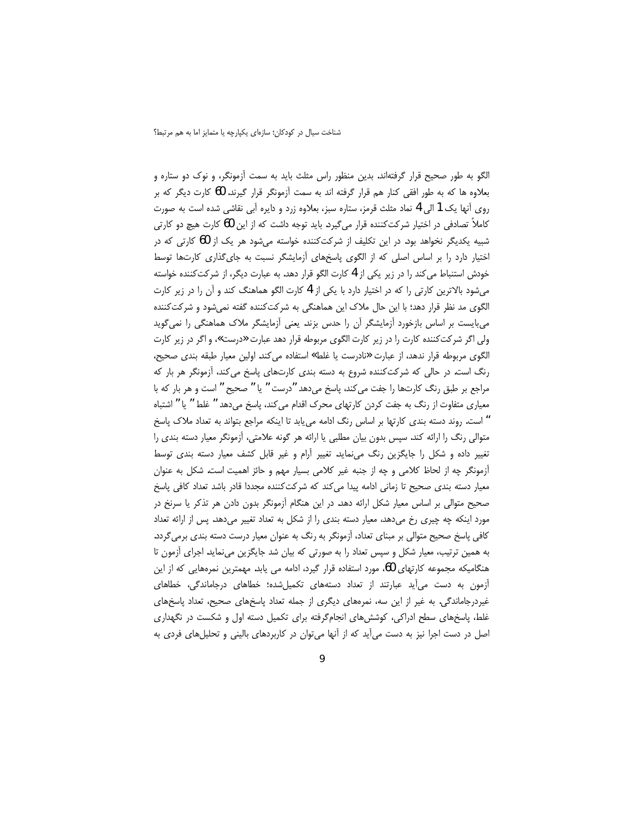الگو به طور صحیح قرار گرفتهاند. بدین منظور راس مثلث باید به سمت آزمونگر، و نوک دو ستاره و بعلاوه ها که به طور افقی کنار هم قرار گرفته اند به سمت آزمونگر قرار گیرند. 60 کارت دیگر که بر روی آنها یک 1 الی 4 نماد مثلث قرمز، ستاره سبز، بعلاوه زرد و دایره آبی نقاشی شده است به صورت کاملاً تصادفی در اختیار شرکتکننده قرار می¢یرد. باید توجه داشت که از این 60 کارت هیچ دو کارتی شبیه یکدیگر نخواهد بود. در این تکلیف از شرکتکننده خواسته میشود هر یک از 60 کارتی که در اختیار دارد را بر اساس اصلی که از الگوی پاسخهای آزمایشگر نسبت به جای گذاری کارتها توسط خودش استنباط می کند را در زیر یکی از 4 کارت الگو قرار دهد. به عبارت دیگر، از شرکت کننده خواسته میشود بالاترین کارتی را که در اختیار دارد با یکی از 4 کارت الگو هماهنگ کند و آن را در زیر کارت الگوی مد نظر قرار دهد؛ با این حال ملاک این هماهنگی به شرکتکننده گفته نمیشود و شرکتکننده می بایست بر اساس بازخورد آزمایشگر آن را حدس بزند. یعنی آزمایشگر ملاک هماهنگی را نمی گوید ولی اگر شرکتکننده کارت را در زیر کارت الگوی مربوطه قرار دهد عبارت «درست»، و اگر در زیر کارت الگوی مربوطه قرار ندهد، از عبارت «نادرست یا غلط» استفاده می کند. اولین معیار طبقه بندی صحیح، رنگ است. در حالی که شرکتکننده شروع به دسته بندی کارتهای پاسخ می کند، آزمونگر هر بار که مراجع بر طبق رنگ کارتها را جفت می کند، پاسخ می دهد "درست " یا " صحیح " است و هر بار که با معیاری متفاوت از رنگ به جفت کردن کارتهای محرک اقدام می کند، پاسخ میدهد " غلط " یا " اشتباه " است. روند دسته بندی کارتها بر اساس رنگ ادامه میbیابد تا اینکه مراجع بتواند به تعداد ملاک پاسخ متوالی رنگ را ارائه کند. سپس بدون بیان مطلبی یا ارائه هر گونه علامتی، آزمونگر معیار دسته بندی را تغییر داده و شکل را جایگزین رنگ مینماید. تغییر آرام و غیر قابل کشف معیار دسته بندی توسط أزمونگر چه از لحاظ كلامى و چه از جنبه غير كلامى بسيار مهم و حائز اهميت است. شكل به عنوان معیار دسته بندی صحیح تا زمانی ادامه پیدا می کند که شرکت کننده مجددا قادر باشد تعداد کافی پاسخ صحیح متوالی بر اساس معیار شکل ارائه دهد. در این هنگام آزمونگر بدون دادن هر تذکر یا سرنخ در مورد اینکه چه چیری رخ میدهد، معیار دسته بندی را از شکل به تعداد تغییر میدهد. پس از ارائه تعداد کافی پاسخ صحیح متوالی بر مبنای تعداد، اُزمونگر به رنگ به عنوان معیار درست دسته بندی برمی گردد. به همین ترتیب، معیار شکل و سپس تعداد را به صورتی که بیان شد جایگزین مینماید. اجرای آزمون تا هنگامیکه مجموعه کارتهای 60، مورد استفاده قرار گیرد، ادامه می یابد. مهمترین نمرههایی که از این آزمون به دست می آید عبارتند از تعداد دستههای تکمیلشده؛ خطاهای درجاماندگی، خطاهای غیردرجاماندگی. به غیر از این سه، نمرههای دیگری از جمله تعداد پاسخهای صحیح، تعداد پاسخهای غلط، پاسخهای سطح ادراکی، کوششهای انجامگرفته برای تکمیل دسته اول و شکست در نگهداری اصل در دست اجرا نیز به دست میآید که از آنها میتوان در کاربردهای بالینی و تحلیلهای فردی به

 $\mathbf{o}$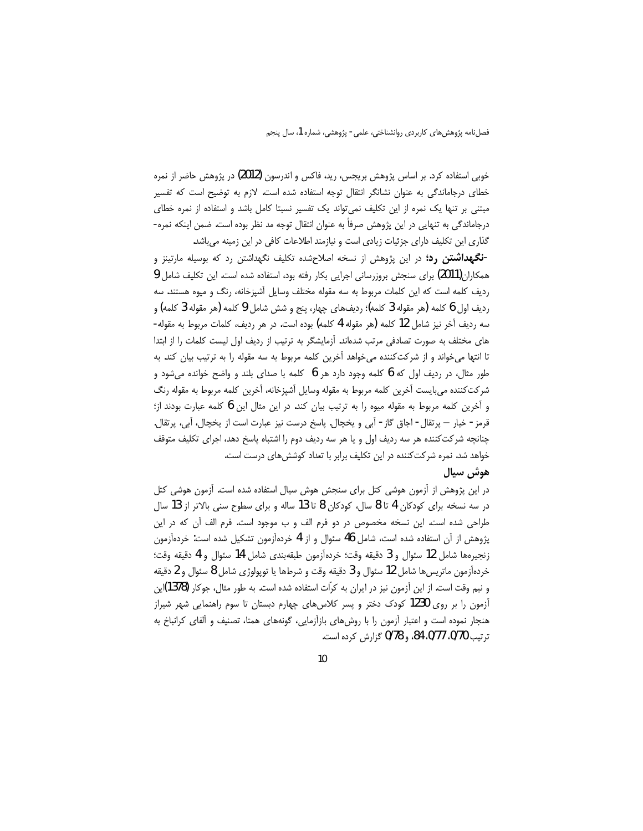خوبی استفاده کرد. بر اساس پژوهش بریجس، رید، فاکس و اندرسون (2012) در پژوهش حاضر از نمره خطای درجاماندگی به عنوان نشانگر انتقال توجه استفاده شده است. لازم به توضیح است که تفسیر مبتنی بر تنها یک نمره از این تکلیف نمی تواند یک تفسیر نسبتا کامل باشد و استفاده از نمره خطای درجاماندگی به تنهایی در این پژوهش صرفاً به عنوان انتقال توجه مد نظر بوده است. ضمن اینکه نمره-گذاری این تکلیف دارای جزئیات زیادی است و نیازمند اطلاعات کافی در این زمینه میباشد.

-**نگهداشتن رد؛** در این پژوهش از نسخه اصلاحشده تکلیف نگهداشتن رد که بوسیله مارتینز و همکاران(2011) برای سنجش بروزرسانی اجرایی بکار رفته بود، استفاده شده است. این تکلیف شامل 9 ردیف کلمه است که این کلمات مربوط به سه مقوله مختلف وسایل آشپزخانه، رنگ و میوه هستند. سه رديف اول 6 كلمه (هر مقوله 3 كلمه)؛ رديفهاي چهار، پنج و شش شامل 9 كلمه (هر مقوله 3 كلمه) و سه رديف آخر نيز شامل 12 كلمه (هر مقوله 4 كلمه) بوده است. در هر رديف، كلمات مربوط به مقوله-های مختلف به صورت تصادفی مرتب شدهاند. آزمایشگر به ترتیب از ردیف اول لیست کلمات را از ابتدا تا انتها میخواند و از شرکتکننده میخواهد آخرین کلمه مربوط به سه مقوله را به ترتیب بیان کند. به طور مثال، در ردیف اول که 6 کلمه وجود دارد هر 6 کلمه با صدای بلند و واضح خوانده می شود و شركتكننده مي بايست آخرين كلمه مربوط به مقوله وسايل آشپزخانه، آخرين كلمه مربوط به مقوله رنگ و آخرین کلمه مربوط به مقوله میوه را به ترتیب بیان کند. در این مثال این 6 کلمه عبارت بودند از؛ قرمز - خيار — يرتقال- اجاق گاز - آبي و يخچال. ياسخ درست نيز عبارت است از يخچال، آبي، پرتقال. چنانچه شرکتکننده هر سه ردیف اول و یا هر سه ردیف دوم را اشتباه پاسخ دهد، اجرای تکلیف متوقف خواهد شد. نمره شرکت کننده در این تکلیف برابر با تعداد کوشش های درست است.

### هوش سيال

در این پژوهش از آزمون هوشی کتل برای سنجش هوش سیال استفاده شده است. آزمون هوشی کتل در سه نسخه برای کودکان 4 تا 8 سال، کودکان 8 تا 13 ساله و برای سطوح سنی بالاتر از 13 سال طراحی شده است. این نسخه مخصوص در دو فرم الف و ب موجود است. فرم الف آن که در این پژوهش از آن استفاده شده است، شامل 46 سئوال و از 4 خردهآزمون تشکیل شده است: خردهآزمون زنجيرهها شامل 12 سئوال و 3 دقيقه وقت؛ خردهآزمون طبقهبندي شامل 14 سئوال و 4 دقيقه وقت؛ خردهآزمون ماتريسها شامل 12 سئوال و 3 دقيقه وقت و شرطها يا توپولوژي شامل 8 سئوال و 2 دقيقه و نیم وقت است. از این آزمون نیز در ایران به کرّات استفاده شده است. به طور مثال، جوکار (1378)ین آزمون را بر روی 1230 کودک دختر و پسر کلاسهای چهارم دبستان تا سوم راهنمایی شهر شیراز هنجار نموده است و اعتبار آزمون را با روشهای بازآزمایی، گونههای همتا، تصنیف و آلفای کرانباخ به ترتيب 0/70، 0/77، 84، و 0/78 گزارش كرده است.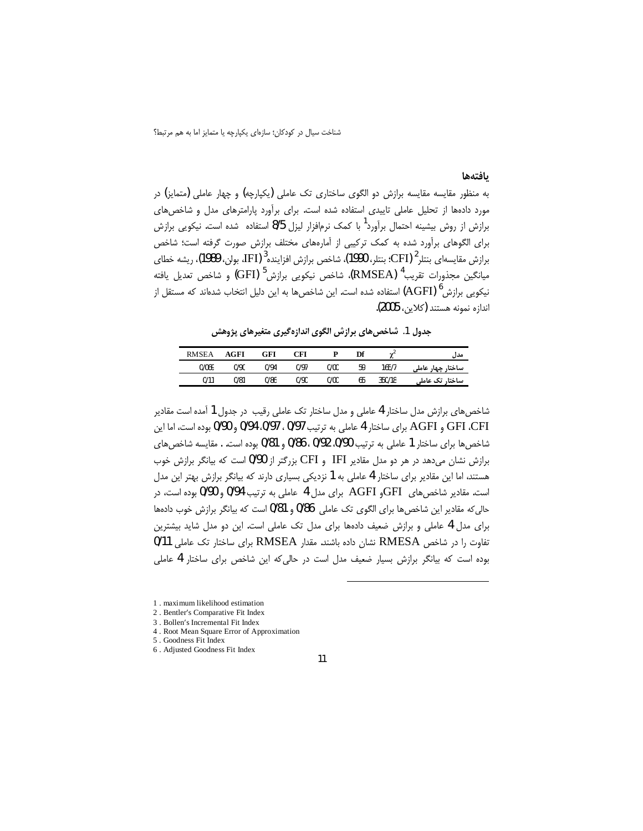#### بافتهها

به منظور مقایسه مقایسه برازش دو الگوی ساختاری تک عاملی (یکپارچه) و چهار عاملی (متمایز) در مورد دادهها از تحلیل عاملی تاییدی استفاده شده است. برای برآورد پارامترهای مدل و شاخصهای برازش از روش بیشینه احتمال برآورد<sup>1</sup> با کمک نرمافزار لیزل 8/5 استفاده شده است. نیکویی برازش برای الگوهای برآورد شده به کمک ترکیبی از آمارههای مختلف برازش صورت گرفته است؛ شاخص برازش مقايسهاى بنتلر<sup>2 (</sup>CFI): بنتلر، 1990)، شاخص برازش افزاينده<sup>3</sup> (IFI، بولن، 1989)، ريشه خطاى ميانگين مجذورات تقريب<sup>4</sup> (RMSEA)، شاخص نيكويي برازش<sup>5</sup> (GFI) و شاخص تعديل يافته نیکویی برازش<sup>6</sup> (AGFI) استفاده شده است. این شاخصها به این دلیل انتخاب شدهاند که مستقل از اندازه نمونه هستند (كلاين، 2005).

جدول 1. شاخصهای برازش الگوی اندازهگیری متغیرهای پژوهش

| <b>RMSEA</b> | AGFI | GFI  | `FI  |      | Df |        | مدار                 |
|--------------|------|------|------|------|----|--------|----------------------|
| 0/069        | 0/90 | 0/94 | 0/97 | 0/00 | 59 | 165/7  | ساختار چهار<br>عاملہ |
| 0/11         | 0/81 | 0/86 | 0/90 | 0/00 | 65 | 350/18 | ساختار تک عاملی      |

شاخص های برازش مدل ساختار 4 عاملی و مدل ساختار تک عاملی رقیب در جدول 1 آمده است مقادیر GFI ،CFI و AGFI براى ساختار 4 عاملي به ترتيب 0/97، 0/97، 0/94 و 0/90 بوده است، اما اين شاخصها براي ساختار 1 عاملي به ترتيب 90/0، 0/92، 0/86 و 0/81 بوده است. . مقايسه شاخصهاي برازش نشان می دهد در هر دو مدل مقادیر IFI و CFI بزرگتر از 0/90 است که بیانگر برازش خوب هستند، اما این مقادیر برای ساختار 4 عاملی به 1 نزدیکی بسیاری دارند که بیانگر برازش بهتر این مدل است. مقادیر شاخصهای GFIو AGFI برای مدل 4 عاملی به ترتیب 0/94 و 0/90 بوده است، در حالي كه مقادير اين شاخصها براي الگوي تک عاملي 86/0 و 81/0 است كه بيانگر برازش خوب دادهها برای مدل 4 عاملی و برازش ضعیف دادهها برای مدل تک عاملی است. این دو مدل شاید بیشترین تفاوت را در شاخص RMESA نشان داده باشند. مقدار RMSEA برای ساختار تک عاملی 0/11 بوده است که بیانگر برازش بسیار ضعیف مدل است در حالی که این شاخص برای ساختار 4 عاملی

- 3 . Bollen's Incremental Fit Index
- 4. Root Mean Square Error of Approximation
- 5. Goodness Fit Index
- 6 . Adjusted Goodness Fit Index

<sup>1.</sup> maximum likelihood estimation

<sup>2.</sup> Bentler's Comparative Fit Index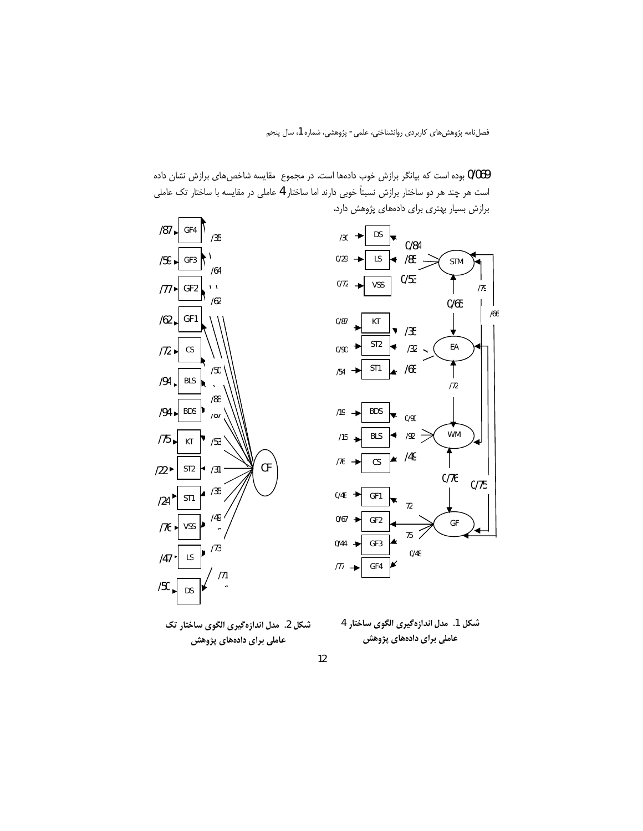





 $/87$ 

GF4

 $/35$ 

شكل 2. مدل اندازهگيري الگوي ساختار تک عاملی برای دادههای پژوهش

شكل 1. مدل اندازهگيري الگوي ساختار 4 عاملی برای دادههای پژوهش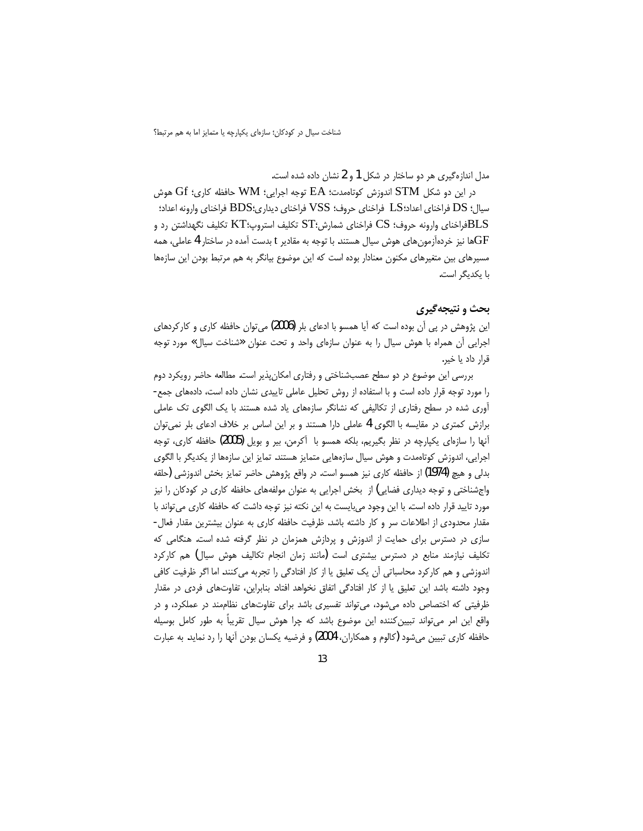مدل اندازهگیری هر دو ساختار در شکل 1 و 2 نشان داده شده است.

 $\rm{G}$ در این دو شکل  $\rm{STM}$  اندوزش کوتاهمدت؛  $\rm{EA}$  توجه اجرایی؛  $\rm{WM}$  حافظه کاری؛  $\rm{G}$  هوش سيال؛ DS فراخناي اعداد؛LS فراخناي حروف؛ VSS فراخناي ديداري؛BDS فراخناي وارونه اعداد؛ وارونه حروف؛ CS فراخنای شمارش؛ $\mathrm{ST}$  تکلیف استروپ؛ $\mathrm{KT}$  تکلیف نگهداشتن رد و $\mathrm{BLS}$ ها نیز خردهآزمونهای هوش سیال هستند. با توجه به مقادیر t بدست آمده در ساختار 4 عاملی، همه $\rm GF$ مسیرهای بین متغیرهای مکنون معنادار بوده است که این موضوع بیانگر به هم مرتبط بودن این سازهها با یکدیگر است.

## بحث و نتيجهگيري

این پژوهش در پی آن بوده است که آیا همسو با ادعای بلر (2006) میتوان حافظه کاری و کارکردهای اجرایی أن همراه با هوش سیال را به عنوان سازهای واحد و تحت عنوان «شناخت سیال» مورد توجه قرار داد يا خير.

بررسی این موضوع در دو سطح عصبشناختی و رفتاری امکانپذیر است. مطالعه حاضر رویکرد دوم را مورد توجه قرار داده است و با استفاده از روش تحلیل عاملی تاییدی نشان داده است، دادههای جمع-آوری شده در سطح رفتاری از تکالیفی که نشانگر سازههای یاد شده هستند با یک الگوی تک عاملی برازش کمتری در مقایسه با الگوی 4 عاملی دارا هستند و بر این اساس بر خلاف ادعای بلر نمی توان آنها را سازهای یکپارچه در نظر بگیریم، بلکه همسو با آکرمن، بیر و بویل (2005) حافظه کاری، توجه اجرایی، اندوزش کوتاهمدت و هوش سیال سازههایی متمایز هستند. تمایز این سازهها از یکدیگر با الگوی بدلی و هیچ (1974) از حافظه کاری نیز همسو است. در واقع پژوهش حاضر تمایز بخش اندوزشی (حلقه واجشناختی و توجه دیداری فضایی) از بخش اجرایی به عنوان مولفههای حافظه کاری در کودکان را نیز مورد تایید قرار داده است. با این وجود میبایست به این نکته نیز توجه داشت که حافظه کاری می تواند با مقدار محدودی از اطلاعات سر و کار داشته باشد. ظرفیت حافظه کاری به عنوان بیشترین مقدار فعال-سازی در دسترس برای حمایت از اندوزش و پردازش همزمان در نظر گرفته شده است. هنگامی که تکلیف نیازمند منابع در دسترس بیشتری است (مانند زمان انجام تکالیف هوش سیال) هم کارکرد اندوزشی و هم کارکرد محاسباتی آن یک تعلیق یا از کار افتادگی را تجربه می کنند. اما اگر ظرفیت کافی وجود داشته باشد این تعلیق یا از کار افتادگی اتفاق نخواهد افتاد. بنابراین، تفاوتهای فردی در مقدار ظرفیتی که اختصاص داده میشود، می تواند تفسیری باشد برای تفاوتهای نظاممند در عملکرد، و در واقع این امر میتواند تبیین کننده این موضوع باشد که چرا هوش سیال تقریباً به طور کامل بوسیله حافظه کاری تبیین میشود (کالوم و همکاران، 2004) و فرضیه یکسان بودن آنها را رد نماید. به عبارت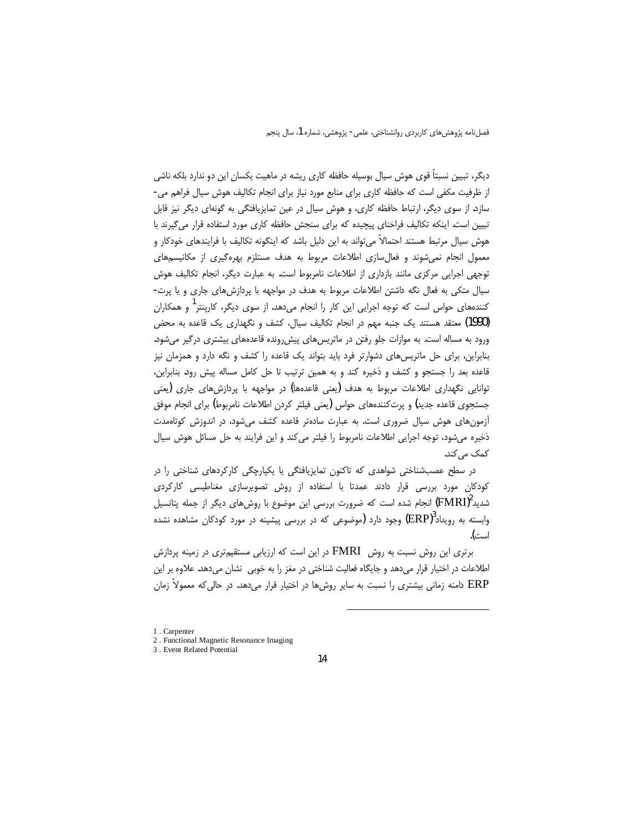دیگر، تبیین نسبتاً قوی هوش سیال بوسیله حافظه کاری ریشه در ماهیت یکسان این دو ندارد بلکه ناشی از ظرفیت مکفی است که حافظه کاری برای منابع مورد نیاز برای انجام تکالیف هوش سیال فراهم می-سازد. از سوی دیگر، ارتباط حافظه کاری، و هوش سیال در عین تمایزیافتگی به گونهای دیگر نیز قابل تبیین است. اینکه تکالیف فراخنای پیچیده که برای سنجش حافظه کاری مورد استفاده قرار می گیرند با هوش سیال مرتبط هستند احتمالاً می¤واند به این دلیل باشد که اینگونه تکالیف با فرایندهای خودکار و معمول انجام نمی شوند و فعال سازی اطلاعات مربوط به هدف مستلزم بهرهگیری از مکانیسمهای توجهی اجرایی مرکزی مانند بازداری از اطلاعات نامربوط است. به عبارت دیگر، انجام تکالیف هوش سیال متکی به فعال نگه داشتن اطلاعات مربوط به هدف در مواجهه با پردازش های جاری و یا پرت-کنندههای حواس است که توجه اجرایی این کار را انجام میدهد. از سوی دیگر، کارینتر<sup>ا</sup> و همکاران (1990) معتقد هستند یک جنبه مهم در انجام تکالیف سیال، کشف و نگهداری یک قاعده به محض ورود به مساله است. به موازات جلو رفتن در ماتریس های پیش رونده قاعدههای بیشتری درگیر می شود. بنابراین، برای حل ماتریسهای دشوارتر فرد باید بتواند یک قاعده را کشف و نگه دارد و همزمان نیز قاعده بعد را جستجو و کشف و ذخیره کند و به همین ترتیب تا حل کامل مساله پیش رود. بنابراین، توانایی نگهداری اطلاعات مربوط به هدف (یعنی قاعدهها) در مواجهه با پردازش های جاری (یعنی جستجوی قاعده جدید) و پرتکنندههای حواس (یعنی فیلتر کردن اطلاعات نامربوط) برای انجام موفق آزمونهای هوش سیال ضروری است. به عبارت سادهتر قاعده کشف می شود، در اندوزش کوتاهمدت ذخیره میشود، توجه اجرایی اطلاعات نامربوط را فیلتر می کند و این فرایند به حل مسائل هوش سیال كمک مي کند.

در سطح عصبشناختی شواهدی که تاکنون تمایزیافتگی یا یکپارچگی کارکردهای شناختی را در کودکان مورد بررسی قرار دادند عمدتا با استفاده از روش تصویرسازی مغناطیسی کارکردی شدید $\rm (FMRI)^2$  انجام شده است که ضرورت بررسی این موضوع با روشهای دیگر از جمله پتانسیل وابسته به رویداد $(\mathrm{ERP})^3$  وجود دارد (موضوعی که در بررسی پیشینه در مورد کودکان مشاهده نشده است).

برتری این روش نسبت به روش FMRI در این است که ارزیابی مستقیمتری در زمینه پردازش اطلاعات در اختیار قرار می دهد و جایگاه فعالیت شناختی در مغز را به خوبی ِ نشان می دهد. علاوه بر این ERP دامنه زمانی بیشتری را نسبت به سایر روشها در اختیار قرار میدهد. در حالی که معمولاً زمان

<sup>1.</sup> Carpenter

<sup>2.</sup> Functional Magnetic Resonance Imaging

<sup>3.</sup> Event Related Potential

<sup>14</sup>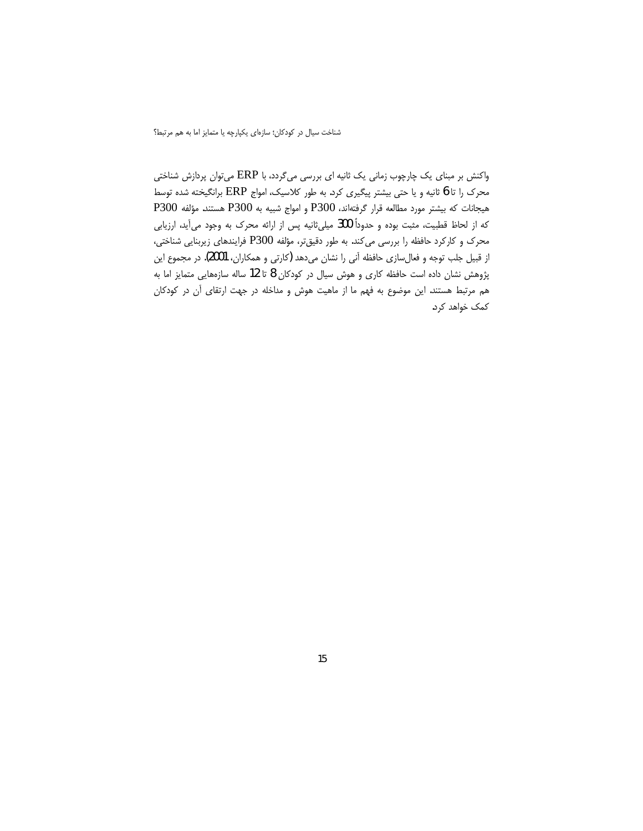واکنش بر مبنای یک چارچوب زمانی یک ثانیه ای بررسی میگردد، با ERP میتوان پردازش شناختی محرک را تا 6 ثانیه و یا حتی بیشتر پیگیری کرد. به طور کلاسیک، امواج ERP برانگیخته شده توسط هيجانات كه بيشتر مورد مطالعه قرار گرفتهاند، P300 و امواج شبيه به P300 هستند. مؤلفه P300 که از لحاظ قطبیت، مثبت بوده و حدوداً 300 میلی¢انیه پس از ارائه محرک به وجود می آید، ارزیابی محرک و کارکرد حافظه را بررسی میکند. به طور دقیقتر، مؤلفه P300 فرایندهای زیربنایی شناختی، از قبیل جلب توجه و فعالِسازی حافظه آنی را نشان میدهد (کارتی و همکاران، 2001). در مجموع این پژوهش نشان داده است حافظه کاری و هوش سیال در کودکان 8 تا 12 ساله سازههایی متمایز اما به هم مرتبط هستند. این موضوع به فهم ما از ماهیت هوش و مداخله در جهت ارتقای آن در کودکان کمک خواهد کرد.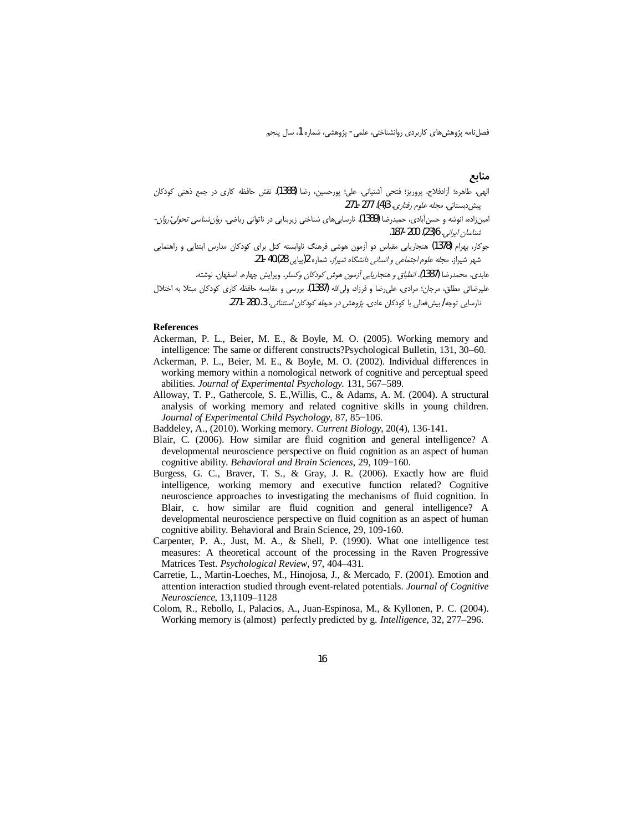### منابع

- الهي، طاهره؛ أزادفلاح، پروريز؛ فتحي أشتياني، علي؛ پورحسين، رضا (1388). نقش حافظه كاري در جمع ذهني كودكان پیش دبستانی. *مجله علوم رفتاری.* 3(4). 271-271.
- امینزاده، انوشه و حسنآبادی، حمیدرضا **(1389)**. نارساییهای شناختی زیربنایی در ناتوانی ریاضی. *روان شناسی تحولی:روان*-*شناسان ايراني.* 6(23). 200-187.
- .<br>جوکار، بهرام (1378) هنجاریابی مقیاس دو آزمون هوشی فرهنگ ناوابسته کتل برای کودکان مدارس ابتدایی و راهنمایی شهر شیراز. *مجله علوم اجتماعی و انسانی دانشگاه شیراز*. شماره 2(پیایی 40.(28-21.

.<br>عابدي، محمدرضا **(1387***). انطباق و هنجاريابي أزمون هوش كودكان وكسلر* **. ويرايش چهارم. اصفهان. نوشته.** علیرضائی مطلق، مرجان؛ مرادی، علی(ضا و فرزاد، ولی|لله (1387). بررسی و مقایسه حافظه کاری کودکان مبتلا به اختلال

نارسایی توجه/ بیش فعالی با کودکان عادی. پژوهش در حی*طه کودکان استثنائی*. 3، 280-271.

#### **References**

- Ackerman, P. L., Beier, M. E., & Boyle, M. O. (2005). Working memory and intelligence: The same or different constructs?Psychological Bulletin, 131, 30–60.
- Ackerman, P. L., Beier, M. E., & Boyle, M. O. (2002). Individual differences in working memory within a nomological network of cognitive and perceptual speed abilities. Journal of Experimental Psychology. 131, 567-589.
- Alloway, T. P., Gathercole, S. E., Willis, C., & Adams, A. M. (2004). A structural analysis of working memory and related cognitive skills in young children. Journal of Experimental Child Psychology, 87, 85–106.
- Baddeley, A., (2010). Working memory. Current Biology, 20(4), 136-141.
- Blair, C. (2006). How similar are fluid cognition and general intelligence? A developmental neuroscience perspective on fluid cognition as an aspect of human cognitive ability. Behavioral and Brain Sciences, 29, 109-160.
- Burgess, G. C., Braver, T. S., & Gray, J. R. (2006). Exactly how are fluid intelligence, working memory and executive function related? Cognitive neuroscience approaches to investigating the mechanisms of fluid cognition. In Blair, c. how similar are fluid cognition and general intelligence? A developmental neuroscience perspective on fluid cognition as an aspect of human cognitive ability. Behavioral and Brain Science, 29, 109-160.
- Carpenter, P. A., Just, M. A., & Shell, P. (1990). What one intelligence test measures: A theoretical account of the processing in the Raven Progressive Matrices Test. Psychological Review, 97, 404-431.
- Carretie, L., Martin-Loeches, M., Hinojosa, J., & Mercado, F. (2001). Emotion and attention interaction studied through event-related potentials. Journal of Cognitive Neuroscience, 13,1109-1128
- Colom, R., Rebollo, I., Palacios, A., Juan-Espinosa, M., & Kyllonen, P. C. (2004). Working memory is (almost) perfectly predicted by g. *Intelligence*, 32, 277–296.